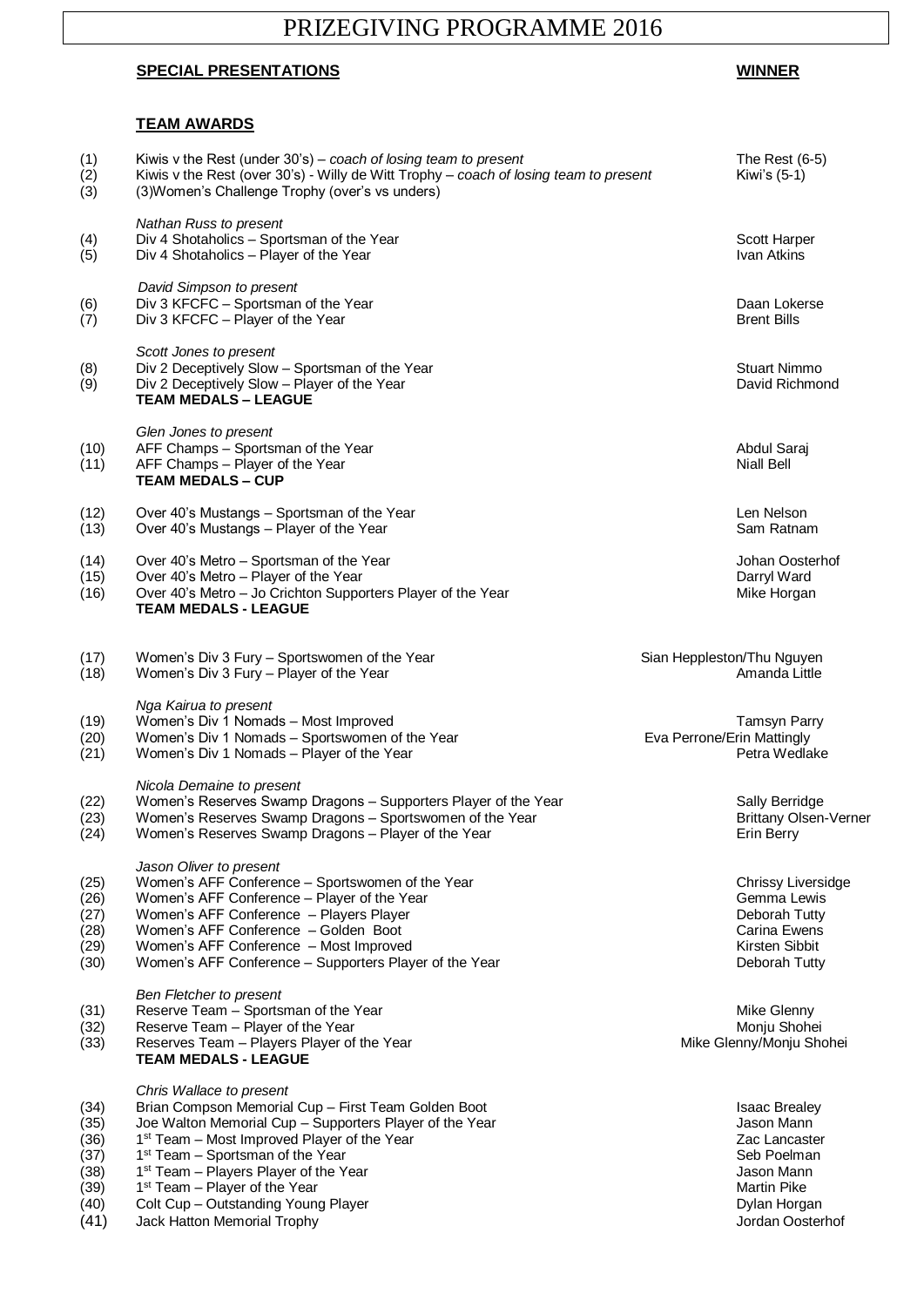# PRIZEGIVING PROGRAMME 2016

### **SPECIAL PRESENTATIONS WINNER**

#### **TEAM AWARDS**

## (1) Kiwis v the Rest (under 30's) – *coach of losing team to present* The Rest (6-5)<br>
(2) Kiwis v the Rest (over 30's) - Willy de Witt Trophy – *coach of losing team to present* Kiwi's (5-1)<br>
(3) (3) Women's Challenge Trop Kiwis v the Rest (over 30's) - Willy de Witt Trophy – *coach of losing team to present* Kiwi's (5-1) (3) (3)Women's Challenge Trophy (over's vs unders) *Nathan Russ to present* (4) Div 4 Shotaholics – Sportsman of the Year Scott Harper Scott Harper Scott Harper Scott Harper Scott Harper<br>(5) Div 4 Shotaholics – Player of the Year Scott Harper Scott Harper Scott Harper Scott Harper  $(5)$  Div 4 Shotaholics – Player of the Year *David Simpson to present* (6) Div 3 KFCFC – Sportsman of the Year Daan Lokerse Contact Contact Contact Contact Contact Daan Lokerse Contact Contact Contact Contact Contact Contact Daan Lokerse Contact Contact Contact Contact Contact Daan Lokerse Co Div 3 KFCFC – Player of the Year *Scott Jones to present* (8) Div 2 Deceptively Slow – Sportsman of the Year Stuart Nimmo Controller and the Year Stuart Nimmo Controller<br>
(9) Div 2 Deceptively Slow – Player of the Year Stuart Nimmo Controller and Stuart Nimmo Controller and Stuar Div 2 Deceptively Slow – Player of the Year **TEAM MEDALS – LEAGUE** *Glen Jones to present* (10) AFF Champs – Sportsman of the Year (10) Abdul Saraj Abdul Saraj Abdul Saraj Abdul Saraj Abdul Saraj Abdul Saraj Abdul Saraj Abdul Saraj Abdul Saraj Abdul Saraj Abdul Saraj Abdul Saraj Abdul Saraj Abdul Saraj Abdul Sar  $(11)$  AFF Champs – Player of the Year **TEAM MEDALS – CUP** (12) Over 40's Mustangs – Sportsman of the Year (12) Connection of the Year Len Nelson Connection Connection of the Year Connection of the Year Connection of the Year (13) Over 40's Mustangs – Player of the Year Connection  $(13)$  Over 40's Mustangs – Player of the Year (14) Over 40's Metro – Sportsman of the Year Johan Oosterhof (15) Over 40's Metro – Sportsman of the Year Johan Oosterhof (15) Over 40's Metro – Player of the Year Johan Oosterhof (15) Over 40's Metro – Player of the Year (15) Over 40's Metro – Player of the Year (15) Over 40's Metro – Player of the Year (16) Over 40's Metro – Jo Crichton Supporters Player of the Year (16) Over 40's Metro – Jo Crichton Supporters Player of the Year (16) Over 40's Metro – Jo Crichton Supporters Player of the Year Microsoft Mike Horgan **TEAM MEDALS - LEAGUE** (17) Uvomen's Div 3 Fury – Sportswomen of the Year (17) (17) Sian Heppleston/Thu Nguyen (18) (18) (18) (18) (1<br>The Sian Heppleston/Thu Nguyen (18) (18) Women's Div 3 Fury – Player of the Year  $(18)$  Women's Div 3 Fury – Player of the Year *Nga Kairua to present* (19) Women's Div 1 Nomads – Most Improved<br>(20) Women's Div 1 Nomads – Sportswomen of the Year Tamsyn Parry Eva Perrone/Erin Mattingly (20) Women's Div 1 Nomads – Sportswomen of the Year Eva Perrone/Erin Mattingly<br>(21) Women's Div 1 Nomads – Player of the Year Eva Perrone/Erin Mattingly Petra Wedlake Women's Div 1 Nomads – Player of the Year *Nicola Demaine to present* (22) Women's Reserves Swamp Dragons – Supporters Player of the Year Sally Berridge (23) Women's Reserves Swamp Dragons – Sportswomen of the Year Brittany Olsen-Verner Brittany Olsen-Verner  $(24)$  Women's Reserves Swamp Dragons – Player of the Year Example 1991 Merry *Jason Oliver to present* (25) Women's AFF Conference – Sportswomen of the Year Chrissy Liversidge<br>(26) Women's AFF Conference – Plaver of the Year Gemma Lewis (26) Momen's AFF Conference – Player of the Year Gemma Lewis Gemma Lewis Gemma Lewis (27) Women's AFF Conference – Players Player Deborah Tutty (28) Women's AFF Conference – Golden Boot Carina Ewens  $(29)$  Women's AFF Conference – Most Improved (30) Women's AFF Conference – Supporters Player of the Year Deborah Tutty *Ben Fletcher to present* (31) Reserve Team – Sportsman of the Year Mike Glenny Mike Glenny (32) Reserve Team – Player of the Year Monju Shohei Monju Shohei Monju Shohei Monju Shohei (33) Reserves Team – Players Player of the Year Microsoft Charles Mike Glenny/Monju Shohei **TEAM MEDALS - LEAGUE** *Chris Wallace to present* (34) Brian Compson Memorial Cup – First Team Golden Boot Isaac Brealey (35) Joe Walton Memorial Cup – Supporters Player of the Year Jason Mann Jason Mann Jason Mann (36) Jason Mann (36) Jason Mann (36) Jason Mann (36) Jason Mann (36) Jason Mann (36) Jason Mann (36) Jacques Mann (36) Jacques  $(36)$ 1<sup>st</sup> Team – Most Improved Player of the Year **Zac Lancaster** 2 ac Lancaster **Zac Lancaster** 2 ac Lancaster **Zac Lancaster**  $(37)$  $1<sup>st</sup>$  Team – Sportsman of the Year  $(38)$ 1<sup>st</sup> Team – Players Player of the Year Jason Mann (1997) and the Vear Jason Mann (1997) and the Vear Jason Mann (1997) and the Vear Jason Mann (1997) and the Vear Jason Mann (1997) and the Vear Jason Mann (1997) and the V  $(39)$ <br> $(40)$ 1<sup>st</sup> Team – Player of the Year Martin Pike<br>
Colt Cup – Outstanding Young Player Martin Pike<br>
2011 Cup – Outstanding Young Player Colt Cup – Outstanding Young Player

(41) Jack Hatton Memorial Trophy Jordan Oosterhof